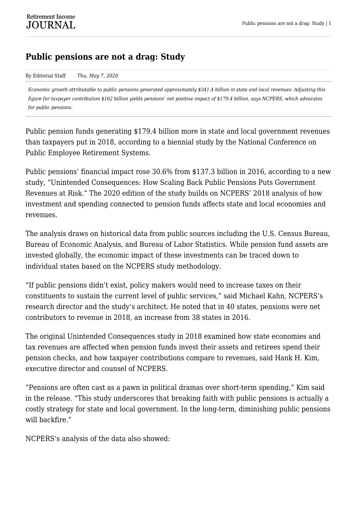## **Public pensions are not a drag: Study**

## By Editorial Staff *Thu, May 7, 2020*

*Economic growth attributable to public pensions generated approximately \$341.4 billion in state and local revenues. Adjusting this figure for taxpayer contribution \$162 billion yields pensions' net positive impact of \$179.4 billion, says NCPERS, which advocates for public pensions.*

Public pension funds generating \$179.4 billion more in state and local government revenues than taxpayers put in 2018, according to a biennial study by the National Conference on Public Employee Retirement Systems.

Public pensions' financial impact rose 30.6% from \$137.3 billion in 2016, according to a new study, "Unintended Consequences: How Scaling Back Public Pensions Puts Government Revenues at Risk." The 2020 edition of the study builds on NCPERS' 2018 analysis of how investment and spending connected to pension funds affects state and local economies and revenues.

The analysis draws on historical data from public sources including the U.S. Census Bureau, Bureau of Economic Analysis, and Bureau of Labor Statistics. While pension fund assets are invested globally, the economic impact of these investments can be traced down to individual states based on the NCPERS study methodology.

"If public pensions didn't exist, policy makers would need to increase taxes on their constituents to sustain the current level of public services," said Michael Kahn, NCPERS's research director and the study's architect. He noted that in 40 states, pensions were net contributors to revenue in 2018, an increase from 38 states in 2016.

The original Unintended Consequences study in 2018 examined how state economies and tax revenues are affected when pension funds invest their assets and retirees spend their pension checks, and how taxpayer contributions compare to revenues, said Hank H. Kim, executive director and counsel of NCPERS.

"Pensions are often cast as a pawn in political dramas over short-term spending," Kim said in the release. "This study underscores that breaking faith with public pensions is actually a costly strategy for state and local government. In the long-term, diminishing public pensions will backfire."

NCPERS's analysis of the data also showed: